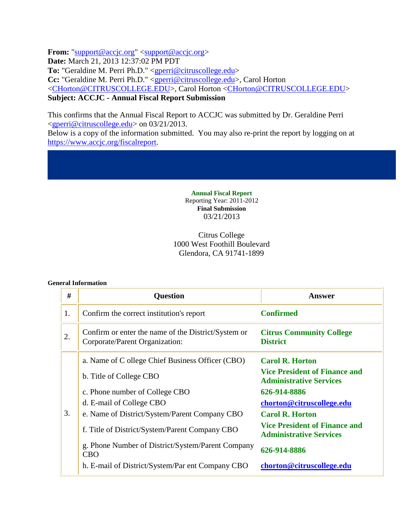From: "support@accjc.org" <support@accjc.org> **Date:** March 21, 2013 12:37:02 PM PDT **To:** "Geraldine M. Perri Ph.D." <gperri@citruscollege.edu> **Cc:** "Geraldine M. Perri Ph.D." <gperri@citruscollege.edu>, Carol Horton <CHorton@CITRUSCOLLEGE.EDU>, Carol Horton <CHorton@CITRUSCOLLEGE.EDU> **Subject: ACCJC - Annual Fiscal Report Submission**

This confirms that the Annual Fiscal Report to ACCJC was submitted by Dr. Geraldine Perri <gperri@citruscollege.edu> on 03/21/2013.

Below is a copy of the information submitted. You may also re-print the report by logging on at https://www.accjc.org/fiscalreport.

> **Annual Fiscal Report** Reporting Year: 2011-2012 **Final Submission** 03/21/2013

## Citrus College 1000 West Foothill Boulevard Glendora, CA 91741-1899

#### **General Information**

| #  | <b>Question</b>                                                                       | <b>Answer</b>                                                          |
|----|---------------------------------------------------------------------------------------|------------------------------------------------------------------------|
| 1. | Confirm the correct institution's report                                              | <b>Confirmed</b>                                                       |
| 2. | Confirm or enter the name of the District/System or<br>Corporate/Parent Organization: | <b>Citrus Community College</b><br><b>District</b>                     |
|    | a. Name of C ollege Chief Business Officer (CBO)                                      | <b>Carol R. Horton</b>                                                 |
|    | b. Title of College CBO                                                               | <b>Vice President of Finance and</b><br><b>Administrative Services</b> |
|    | c. Phone number of College CBO                                                        | 626-914-8886                                                           |
|    | d. E-mail of College CBO                                                              | chorton@citruscollege.edu                                              |
| 3. | e. Name of District/System/Parent Company CBO                                         | <b>Carol R. Horton</b>                                                 |
|    | f. Title of District/System/Parent Company CBO                                        | <b>Vice President of Finance and</b><br><b>Administrative Services</b> |
|    | g. Phone Number of District/System/Parent Company<br><b>CBO</b>                       | 626-914-8886                                                           |
|    | h. E-mail of District/System/Par ent Company CBO                                      | chorton@citruscollege.edu                                              |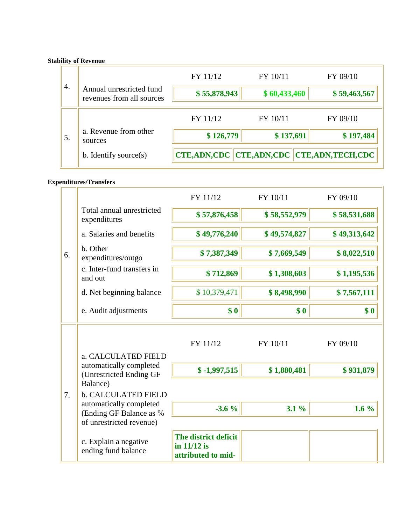## **Stability of Revenue**

| 4. |                                                              | FY 11/12           | FY 10/11                            | FY 09/10     |
|----|--------------------------------------------------------------|--------------------|-------------------------------------|--------------|
|    | Annual unrestricted fund<br>revenues from all sources        | \$55,878,943       | \$60,433,460                        | \$59,463,567 |
|    |                                                              | FY 11/12           | FY 10/11                            | FY 09/10     |
| 5. | a. Revenue from other<br>sources<br>b. Identify source $(s)$ | \$126,779          | \$137,691                           | \$197,484    |
|    |                                                              | <b>CTE,ADN,CDC</b> | <b>CTE,ADN,CDC CTE,ADN,TECH,CDC</b> |              |

#### **Expenditures/Transfers**

|    |                                                    | FY 11/12                                                  | FY 10/11     | FY 09/10     |
|----|----------------------------------------------------|-----------------------------------------------------------|--------------|--------------|
|    | Total annual unrestricted<br>expenditures          | \$57,876,458                                              | \$58,552,979 | \$58,531,688 |
|    | a. Salaries and benefits                           | \$49,776,240                                              | \$49,574,827 | \$49,313,642 |
| 6. | b. Other<br>expenditures/outgo                     | \$7,387,349                                               | \$7,669,549  | \$8,022,510  |
|    | c. Inter-fund transfers in<br>and out              | \$712,869                                                 | \$1,308,603  | \$1,195,536  |
|    | d. Net beginning balance                           | \$10,379,471                                              | \$8,498,990  | \$7,567,111  |
|    | e. Audit adjustments                               | \$0                                                       | \$0          | \$0          |
|    | a. CALCULATED FIELD                                | FY 11/12                                                  | FY 10/11     | FY 09/10     |
| 7. | automatically completed<br>(Unrestricted Ending GF | $$ -1,997,515$                                            | \$1,880,481  | \$931,879    |
|    | Balance)<br><b>b. CALCULATED FIELD</b>             |                                                           |              |              |
|    | automatically completed<br>(Ending GF Balance as % | $-3.6%$                                                   | $3.1\%$      | 1.6 $%$      |
|    | of unrestricted revenue)                           |                                                           |              |              |
|    | c. Explain a negative<br>ending fund balance       | The district deficit<br>in 11/12 is<br>attributed to mid- |              |              |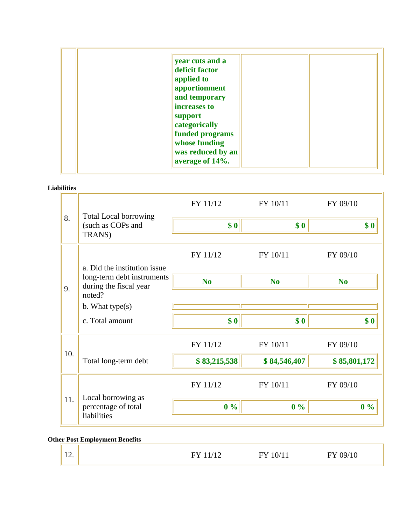| year cuts and a<br>deficit factor<br>applied to |  |
|-------------------------------------------------|--|
| apportionment                                   |  |
| and temporary<br>increases to                   |  |
| support                                         |  |
| categorically                                   |  |
| funded programs                                 |  |
| whose funding                                   |  |
| was reduced by an<br>average of 14%.            |  |

**Liabilities**

| 8.  | <b>Total Local borrowing</b><br>(such as COPs and<br>TRANS) | FY 11/12       | FY 10/11       | FY 09/10       |
|-----|-------------------------------------------------------------|----------------|----------------|----------------|
|     |                                                             | \$0            | \$0            | \$0            |
|     | a. Did the institution issue                                | FY 11/12       | FY 10/11       | FY 09/10       |
|     | long-term debt instruments<br>during the fiscal year        | N <sub>0</sub> | N <sub>0</sub> | N <sub>0</sub> |
| 9.  | noted?                                                      |                |                |                |
|     | b. What type $(s)$                                          |                |                |                |
|     | c. Total amount                                             | \$0            | \$0            | \$0            |
| 10. |                                                             | FY 11/12       | FY 10/11       | FY 09/10       |
|     | Total long-term debt                                        | \$83,215,538   | \$84,546,407   | \$85,801,172   |
|     |                                                             | FY 11/12       | FY 10/11       | FY 09/10       |
| 11. | Local borrowing as<br>percentage of total<br>liabilities    | $0\%$          | $0\%$          | $0\%$          |

# **Other Post Employment Benefits**

| $\sim$<br>$\overline{\phantom{a}}$ | -<br>$\overline{\phantom{0}}$<br>- - - - | -<br>10/11<br>- - | м<br>ΙV |
|------------------------------------|------------------------------------------|-------------------|---------|
|------------------------------------|------------------------------------------|-------------------|---------|

ä,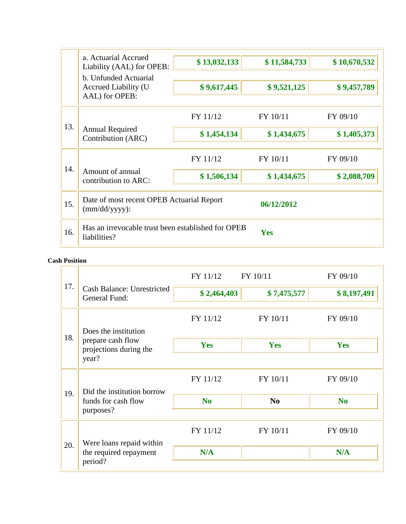|     | a. Actuarial Accrued                                               | \$13,032,133 | \$11,584,733 | \$10,670,532 |
|-----|--------------------------------------------------------------------|--------------|--------------|--------------|
|     | Liability (AAL) for OPEB:<br>b. Unfunded Actuarial                 |              |              |              |
|     | Accrued Liability (U<br>AAL) for OPEB:                             | \$9,617,445  | \$9,521,125  | \$9,457,789  |
|     |                                                                    |              |              |              |
|     |                                                                    | FY 11/12     | FY 10/11     | FY 09/10     |
| 13. | <b>Annual Required</b><br>Contribution (ARC)                       | \$1,454,134  | \$1,434,675  | \$1,405,373  |
| 14. |                                                                    | FY 11/12     | FY 10/11     | FY 09/10     |
|     | Amount of annual<br>contribution to ARC:                           | \$1,506,134  | \$1,434,675  | \$2,088,709  |
| 15. | Date of most recent OPEB Actuarial Report<br>$(mm/dd/yyyy)$ :      |              | 06/12/2012   |              |
| 16. | Has an irrevocable trust been established for OPEB<br>liabilities? |              | <b>Yes</b>   |              |

### **Cash Position**

|     |                                                               | FY 11/12       | FY 10/11       | FY 09/10       |
|-----|---------------------------------------------------------------|----------------|----------------|----------------|
| 17. | <b>Cash Balance: Unrestricted</b><br>General Fund:            | \$2,464,403    | \$7,475,577    | \$8,197,491    |
|     | Does the institution                                          | FY 11/12       | FY 10/11       | FY 09/10       |
| 18. | prepare cash flow<br>projections during the                   | Yes            | Yes            | Yes            |
|     | year?                                                         |                |                |                |
|     | Did the institution borrow<br>funds for cash flow             | FY 11/12       | FY 10/11       | FY 09/10       |
| 19. |                                                               | N <sub>0</sub> | N <sub>0</sub> | N <sub>0</sub> |
|     | purposes?                                                     |                |                |                |
|     |                                                               | FY 11/12       | FY 10/11       | FY 09/10       |
| 20. | Were loans repaid within<br>the required repayment<br>period? | N/A            |                | N/A            |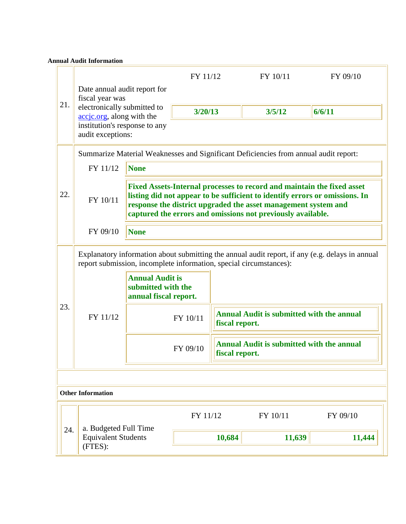#### **Annual Audit Information**

|     |                                                                                                                                                                       |                                                                                                                                                                                                                                                                                        | FY 11/12       |                                                  | FY 10/11                                         | FY 09/10 |  |
|-----|-----------------------------------------------------------------------------------------------------------------------------------------------------------------------|----------------------------------------------------------------------------------------------------------------------------------------------------------------------------------------------------------------------------------------------------------------------------------------|----------------|--------------------------------------------------|--------------------------------------------------|----------|--|
| 21. | Date annual audit report for<br>fiscal year was<br>electronically submitted to                                                                                        |                                                                                                                                                                                                                                                                                        |                |                                                  |                                                  |          |  |
|     | accjc.org, along with the                                                                                                                                             |                                                                                                                                                                                                                                                                                        | 3/20/13        |                                                  | 3/5/12                                           | 6/6/11   |  |
|     | institution's response to any<br>audit exceptions:                                                                                                                    |                                                                                                                                                                                                                                                                                        |                |                                                  |                                                  |          |  |
|     | Summarize Material Weaknesses and Significant Deficiencies from annual audit report:                                                                                  |                                                                                                                                                                                                                                                                                        |                |                                                  |                                                  |          |  |
|     | FY 11/12                                                                                                                                                              | None                                                                                                                                                                                                                                                                                   |                |                                                  |                                                  |          |  |
| 22. | FY 10/11                                                                                                                                                              | Fixed Assets-Internal processes to record and maintain the fixed asset<br>listing did not appear to be sufficient to identify errors or omissions. In<br>response the district upgraded the asset management system and<br>captured the errors and omissions not previously available. |                |                                                  |                                                  |          |  |
|     | FY 09/10                                                                                                                                                              | None                                                                                                                                                                                                                                                                                   |                |                                                  |                                                  |          |  |
|     | Explanatory information about submitting the annual audit report, if any (e.g. delays in annual<br>report submission, incomplete information, special circumstances): |                                                                                                                                                                                                                                                                                        |                |                                                  |                                                  |          |  |
|     |                                                                                                                                                                       | <b>Annual Audit is</b><br>submitted with the<br>annual fiscal report.                                                                                                                                                                                                                  |                |                                                  |                                                  |          |  |
| 23. | FY 11/12                                                                                                                                                              |                                                                                                                                                                                                                                                                                        | FY 10/11       | fiscal report.                                   | <b>Annual Audit is submitted with the annual</b> |          |  |
|     |                                                                                                                                                                       | FY 09/10                                                                                                                                                                                                                                                                               | fiscal report. | <b>Annual Audit is submitted with the annual</b> |                                                  |          |  |
|     |                                                                                                                                                                       |                                                                                                                                                                                                                                                                                        |                |                                                  |                                                  |          |  |
|     | <b>Other Information</b>                                                                                                                                              |                                                                                                                                                                                                                                                                                        |                |                                                  |                                                  |          |  |
|     |                                                                                                                                                                       |                                                                                                                                                                                                                                                                                        | FY 11/12       |                                                  | FY 10/11                                         | FY 09/10 |  |
|     | a. Budgeted Full Time<br>24.<br><b>Equivalent Students</b><br>(FTES):                                                                                                 |                                                                                                                                                                                                                                                                                        |                | 10,684                                           | 11,639                                           | 11,444   |  |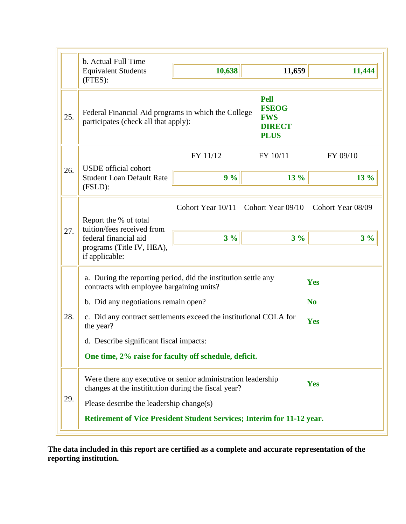|     | b. Actual Full Time                                                                                                                                                                                                                                                                                                                       |                                              |                                                                           |                                     |  |
|-----|-------------------------------------------------------------------------------------------------------------------------------------------------------------------------------------------------------------------------------------------------------------------------------------------------------------------------------------------|----------------------------------------------|---------------------------------------------------------------------------|-------------------------------------|--|
|     | <b>Equivalent Students</b><br>(FTES):                                                                                                                                                                                                                                                                                                     | 10,638                                       | 11,659                                                                    | 11,444                              |  |
| 25. | Federal Financial Aid programs in which the College<br>participates (check all that apply):                                                                                                                                                                                                                                               |                                              | <b>Pell</b><br><b>FSEOG</b><br><b>FWS</b><br><b>DIRECT</b><br><b>PLUS</b> |                                     |  |
|     |                                                                                                                                                                                                                                                                                                                                           | FY 11/12                                     | FY 10/11                                                                  | FY 09/10                            |  |
| 26. | <b>USDE</b> official cohort<br><b>Student Loan Default Rate</b><br>(FSLD):                                                                                                                                                                                                                                                                | 9%                                           | $13\%$                                                                    | $13\%$                              |  |
| 27. | Report the % of total<br>tuition/fees received from<br>federal financial aid<br>programs (Title IV, HEA),<br>if applicable:                                                                                                                                                                                                               | Cohort Year 10/11 Cohort Year 09/10<br>$3\%$ | $3\%$                                                                     | Cohort Year 08/09<br>$3\%$          |  |
| 28. | a. During the reporting period, did the institution settle any<br>contracts with employee bargaining units?<br>b. Did any negotiations remain open?<br>c. Did any contract settlements exceed the institutional COLA for<br>the year?<br>d. Describe significant fiscal impacts:<br>One time, 2% raise for faculty off schedule, deficit. |                                              |                                                                           | Yes<br>N <sub>0</sub><br><b>Yes</b> |  |
| 29. | Were there any executive or senior administration leadership<br>changes at the institution during the fiscal year?<br>Please describe the leadership change(s)                                                                                                                                                                            |                                              |                                                                           | Yes                                 |  |
|     | Retirement of Vice President Student Services; Interim for 11-12 year.                                                                                                                                                                                                                                                                    |                                              |                                                                           |                                     |  |

**The data included in this report are certified as a complete and accurate representation of the reporting institution.**